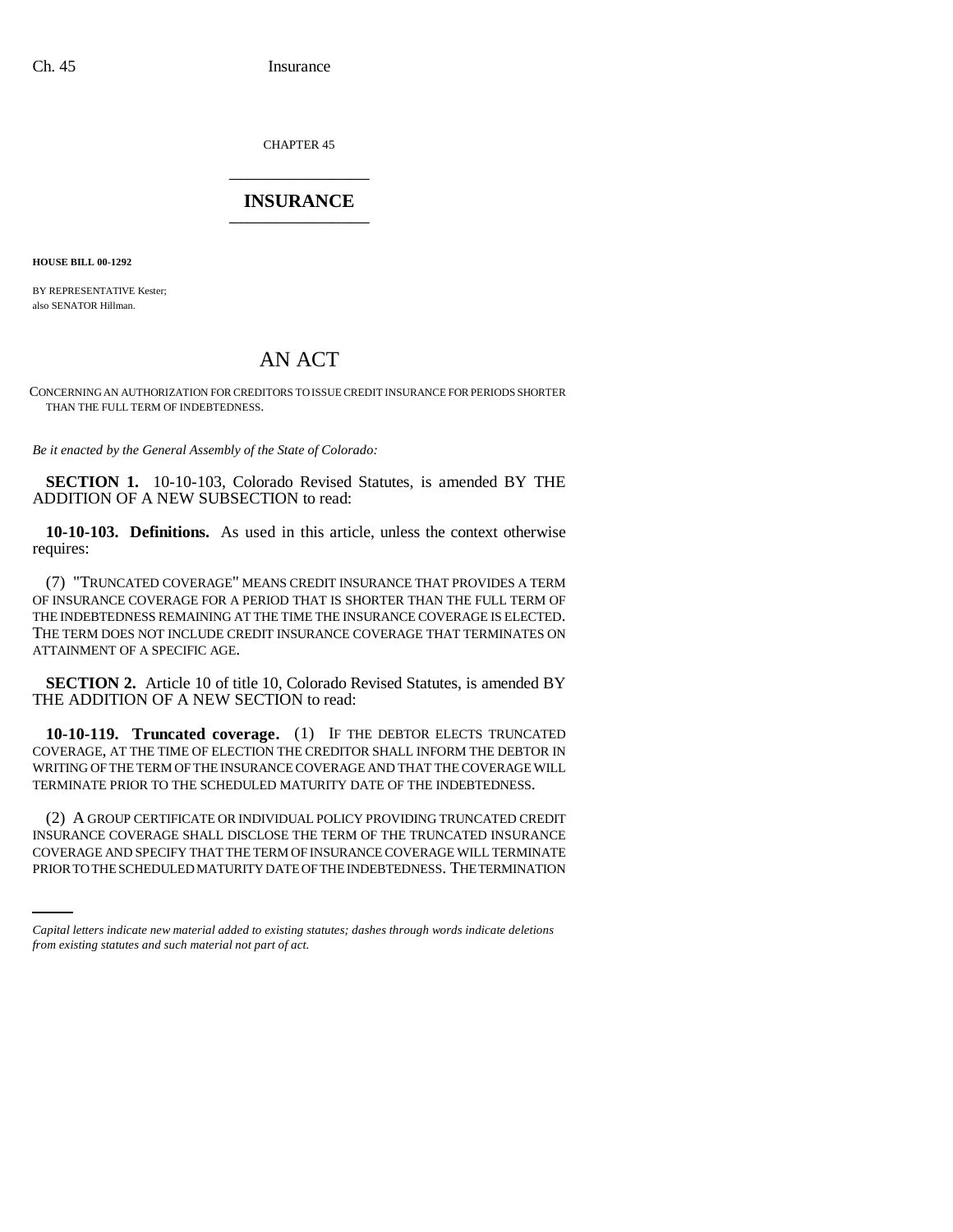CHAPTER 45 \_\_\_\_\_\_\_\_\_\_\_\_\_\_\_

## **INSURANCE** \_\_\_\_\_\_\_\_\_\_\_\_\_\_\_

**HOUSE BILL 00-1292** 

BY REPRESENTATIVE Kester; also SENATOR Hillman.

## AN ACT

CONCERNING AN AUTHORIZATION FOR CREDITORS TO ISSUE CREDIT INSURANCE FOR PERIODS SHORTER THAN THE FULL TERM OF INDEBTEDNESS.

*Be it enacted by the General Assembly of the State of Colorado:*

**SECTION 1.** 10-10-103, Colorado Revised Statutes, is amended BY THE ADDITION OF A NEW SUBSECTION to read:

**10-10-103. Definitions.** As used in this article, unless the context otherwise requires:

(7) "TRUNCATED COVERAGE" MEANS CREDIT INSURANCE THAT PROVIDES A TERM OF INSURANCE COVERAGE FOR A PERIOD THAT IS SHORTER THAN THE FULL TERM OF THE INDEBTEDNESS REMAINING AT THE TIME THE INSURANCE COVERAGE IS ELECTED. THE TERM DOES NOT INCLUDE CREDIT INSURANCE COVERAGE THAT TERMINATES ON ATTAINMENT OF A SPECIFIC AGE.

**SECTION 2.** Article 10 of title 10, Colorado Revised Statutes, is amended BY THE ADDITION OF A NEW SECTION to read:

**10-10-119. Truncated coverage.** (1) IF THE DEBTOR ELECTS TRUNCATED COVERAGE, AT THE TIME OF ELECTION THE CREDITOR SHALL INFORM THE DEBTOR IN WRITING OF THE TERM OF THE INSURANCE COVERAGE AND THAT THE COVERAGE WILL TERMINATE PRIOR TO THE SCHEDULED MATURITY DATE OF THE INDEBTEDNESS.

INSURANCE COVERAGE SHALL DISCLOSE THE TERM OF THE TRUNCATED INSURANCE (2) A GROUP CERTIFICATE OR INDIVIDUAL POLICY PROVIDING TRUNCATED CREDIT COVERAGE AND SPECIFY THAT THE TERM OF INSURANCE COVERAGE WILL TERMINATE PRIOR TO THE SCHEDULED MATURITY DATE OF THE INDEBTEDNESS. THE TERMINATION

*Capital letters indicate new material added to existing statutes; dashes through words indicate deletions from existing statutes and such material not part of act.*